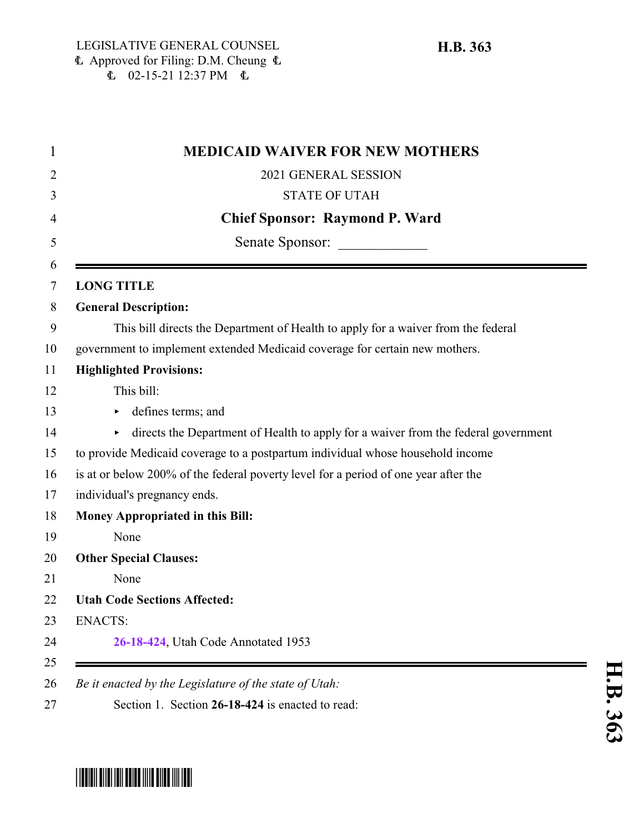| <b>MEDICAID WAIVER FOR NEW MOTHERS</b>                                                   |
|------------------------------------------------------------------------------------------|
| 2021 GENERAL SESSION                                                                     |
| <b>STATE OF UTAH</b>                                                                     |
| <b>Chief Sponsor: Raymond P. Ward</b>                                                    |
| Senate Sponsor:                                                                          |
| <b>LONG TITLE</b>                                                                        |
| <b>General Description:</b>                                                              |
| This bill directs the Department of Health to apply for a waiver from the federal        |
| government to implement extended Medicaid coverage for certain new mothers.              |
| <b>Highlighted Provisions:</b>                                                           |
| This bill:                                                                               |
| defines terms; and<br>Þ.                                                                 |
| directs the Department of Health to apply for a waiver from the federal government<br>Þ. |
| to provide Medicaid coverage to a postpartum individual whose household income           |
| is at or below 200% of the federal poverty level for a period of one year after the      |
| individual's pregnancy ends.                                                             |
| <b>Money Appropriated in this Bill:</b>                                                  |
| None                                                                                     |
| <b>Other Special Clauses:</b>                                                            |
| None                                                                                     |
| <b>Utah Code Sections Affected:</b>                                                      |
| <b>ENACTS:</b>                                                                           |
| 26-18-424, Utah Code Annotated 1953                                                      |

## **H.B.** <u>م</u> <u>م</u>

## <span id="page-0-0"></span>\*HB0363\*